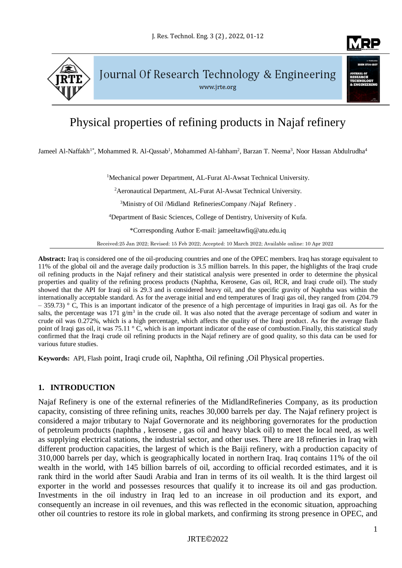

Journal Of Research Technology & Engineering www.jrte.org

# Physical properties of refining products in Najaf refinery

Jameel Al-Naffakh<sup>1\*</sup>, Mohammed R. Al-Qassab<sup>1</sup>, Mohammed Al-fahham<sup>2</sup>, Barzan T. Neema<sup>3</sup>, Noor Hassan Abdulrudha<sup>4</sup>

<sup>1</sup>Mechanical power Department, AL-Furat Al-Awsat Technical University.

<sup>2</sup> Aeronautical Department, AL-Furat Al-Awsat Technical University.

<sup>3</sup>Ministry of Oil /Midland RefineriesCompany /Najaf Refinery.

<sup>4</sup>Department of Basic Sciences, College of Dentistry, University of Kufa.

\*Corresponding Author E-mail: jameeltawfiq@atu.edu.iq

Received:25 Jan 2022; Revised: 15 Feb 2022; Accepted: 10 March 2022; Available online: 10 Apr 2022

**Abstract:** Iraq is considered one of the oil-producing countries and one of the OPEC members. Iraq has storage equivalent to 11% of the global oil and the average daily production is 3.5 million barrels. In this paper, the highlights of the Iraqi crude oil refining products in the Najaf refinery and their statistical analysis were presented in order to determine the physical properties and quality of the refining process products (Naphtha, Kerosene, Gas oil, RCR, and Iraqi crude oil). The study showed that the API for Iraqi oil is 29.3 and is considered heavy oil, and the specific gravity of Naphtha was within the internationally acceptable standard. As for the average initial and end temperatures of Iraqi gas oil, they ranged from (204.79  $-359.73$  ° C, This is an important indicator of the presence of a high percentage of impurities in Iraqi gas oil. As for the salts, the percentage was 171  $g/m<sup>3</sup>$  in the crude oil. It was also noted that the average percentage of sodium and water in crude oil was 0.272%, which is a high percentage, which affects the quality of the Iraqi product. As for the average flash point of Iraqi gas oil, it was 75.11 ° C, which is an important indicator of the ease of combustion. Finally, this statistical study confirmed that the Iraqi crude oil refining products in the Najaf refinery are of good quality, so this data can be used for various future studies.

**Keywords:** API, Flash point, Iraqi crude oil, Naphtha, Oil refining ,Oil Physical properties.

# **1. INTRODUCTION**

Najaf Refinery is one of the external refineries of the MidlandRefineries Company, as its production capacity, consisting of three refining units, reaches 30,000 barrels per day. The Najaf refinery project is considered a major tributary to Najaf Governorate and its neighboring governorates for the production of petroleum products (naphtha , kerosene , gas oil and heavy black oil) to meet the local need, as well as supplying electrical stations, the industrial sector, and other uses. There are 18 refineries in Iraq with different production capacities, the largest of which is the Baiji refinery, with a production capacity of 310,000 barrels per day, which is geographically located in northern Iraq. Iraq contains 11% of the oil wealth in the world, with 145 billion barrels of oil, according to official recorded estimates, and it is rank third in the world after Saudi Arabia and Iran in terms of its oil wealth. It is the third largest oil exporter in the world and possesses resources that qualify it to increase its oil and gas production. Investments in the oil industry in Iraq led to an increase in oil production and its export, and consequently an increase in oil revenues, and this was reflected in the economic situation, approaching other oil countries to restore its role in global markets, and confirming its strong presence in OPEC, and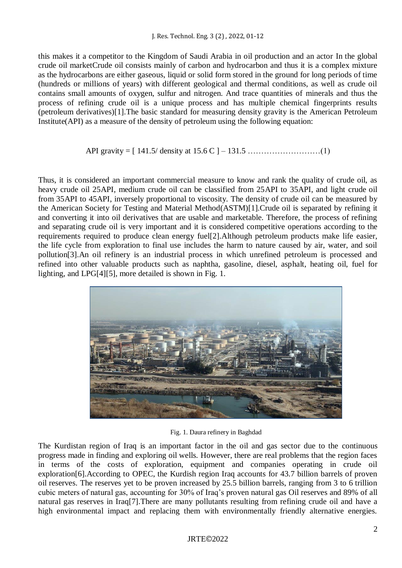this makes it a competitor to the Kingdom of Saudi Arabia in oil production and an actor In the global crude oil marketCrude oil consists mainly of carbon and hydrocarbon and thus it is a complex mixture as the hydrocarbons are either gaseous, liquid or solid form stored in the ground for long periods of time (hundreds or millions of years) with different geological and thermal conditions, as well as crude oil contains small amounts of oxygen, sulfur and nitrogen. And trace quantities of minerals and thus the process of refining crude oil is a unique process and has multiple chemical fingerprints results (petroleum derivatives)[1].The basic standard for measuring density gravity is the American Petroleum Institute(API) as a measure of the density of petroleum using the following equation:

## API gravity = [ 141.5/ density at 15.6 C ] – 131.5 ………………………(1)

Thus, it is considered an important commercial measure to know and rank the quality of crude oil, as heavy crude oil 25API, medium crude oil can be classified from 25API to 35API, and light crude oil from 35API to 45API, inversely proportional to viscosity. The density of crude oil can be measured by the American Society for Testing and Material Method(ASTM)[1].Crude oil is separated by refining it and converting it into oil derivatives that are usable and marketable. Therefore, the process of refining and separating crude oil is very important and it is considered competitive operations according to the requirements required to produce clean energy fuel[2].Although petroleum products make life easier, the life cycle from exploration to final use includes the harm to nature caused by air, water, and soil pollution[3].An oil refinery is an industrial process in which unrefined petroleum is processed and refined into other valuable products such as naphtha, gasoline, diesel, asphalt, heating oil, fuel for lighting, and LPG[4][5], more detailed is shown in Fig. 1.



Fig. 1. Daura refinery in Baghdad

The Kurdistan region of Iraq is an important factor in the oil and gas sector due to the continuous progress made in finding and exploring oil wells. However, there are real problems that the region faces in terms of the costs of exploration, equipment and companies operating in crude oil exploration[6].According to OPEC, the Kurdish region Iraq accounts for 43.7 billion barrels of proven oil reserves. The reserves yet to be proven increased by 25.5 billion barrels, ranging from 3 to 6 trillion cubic meters of natural gas, accounting for 30% of Iraq's proven natural gas Oil reserves and 89% of all natural gas reserves in Iraq[7].There are many pollutants resulting from refining crude oil and have a high environmental impact and replacing them with environmentally friendly alternative energies.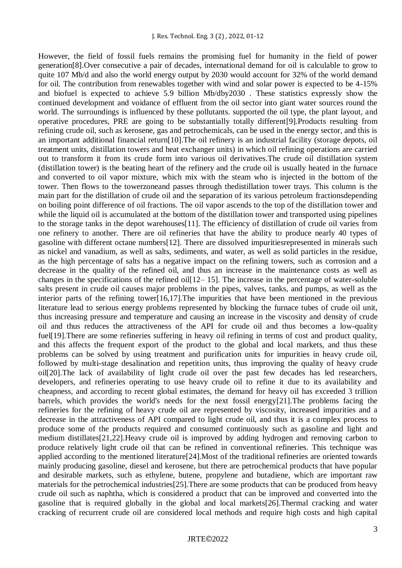However, the field of fossil fuels remains the promising fuel for humanity in the field of power generation[8].Over consecutive a pair of decades, international demand for oil is calculable to grow to quite 107 Mb/d and also the world energy output by 2030 would account for 32% of the world demand for oil. The contribution from renewables together with wind and solar power is expected to be 4-15% and biofuel is expected to achieve 5.9 billion Mb/dby2030 . These statistics expressly show the continued development and voidance of effluent from the oil sector into giant water sources round the world. The surroundings is influenced by these pollutants. supported the oil type, the plant layout, and operative procedures, PRE are going to be substantially totally different[9].Products resulting from refining crude oil, such as kerosene, gas and petrochemicals, can be used in the energy sector, and this is an important additional financial return[10].The oil refinery is an industrial facility (storage depots, oil treatment units, distillation towers and heat exchanger units) in which oil refining operations are carried out to transform it from its crude form into various oil derivatives.The crude oil distillation system (distillation tower) is the beating heart of the refinery and the crude oil is usually heated in the furnace and converted to oil vapor mixture, which mix with the steam who is injected in the bottom of the tower. Then flows to the towerzoneand passes through thedistillation tower trays. This column is the main part for the distillation of crude oil and the separation of its various petroleum fractionsdepending on boiling point difference of oil fractions. The oil vapor ascends to the top of the distillation tower and while the liquid oil is accumulated at the bottom of the distillation tower and transported using pipelines to the storage tanks in the depot warehouses[11]. The efficiency of distillation of crude oil varies from one refinery to another. There are oil refineries that have the ability to produce nearly 40 types of gasoline with different octane numbers[12]. There are dissolved impuritiesrepresented in minerals such as nickel and vanadium, as well as salts, sediments, and water, as well as solid particles in the residue, as the high percentage of salts has a negative impact on the refining towers, such as corrosion and a decrease in the quality of the refined oil, and thus an increase in the maintenance costs as well as changes in the specifications of the refined oil $[12-15]$ . The increase in the percentage of water-soluble salts present in crude oil causes major problems in the pipes, valves, tanks, and pumps, as well as the interior parts of the refining tower[16,17].The impurities that have been mentioned in the previous literature lead to serious energy problems represented by blocking the furnace tubes of crude oil unit, thus increasing pressure and temperature and causing an increase in the viscosity and density of crude oil and thus reduces the attractiveness of the API for crude oil and thus becomes a low-quality fuel[19]. There are some refineries suffering in heavy oil refining in terms of cost and product quality, and this affects the frequent export of the product to the global and local markets, and thus these problems can be solved by using treatment and purification units for impurities in heavy crude oil, followed by multi-stage desalination and repetition units, thus improving the quality of heavy crude oil[20].The lack of availability of light crude oil over the past few decades has led researchers, developers, and refineries operating to use heavy crude oil to refine it due to its availability and cheapness, and according to recent global estimates, the demand for heavy oil has exceeded 3 trillion barrels, which provides the world's needs for the next fossil energy[21].The problems facing the refineries for the refining of heavy crude oil are represented by viscosity, increased impurities and a decrease in the attractiveness of API compared to light crude oil, and thus it is a complex process to produce some of the products required and consumed continuously such as gasoline and light and medium distillates[21,22].Heavy crude oil is improved by adding hydrogen and removing carbon to produce relatively light crude oil that can be refined in conventional refineries. This technique was applied according to the mentioned literature[24].Most of the traditional refineries are oriented towards mainly producing gasoline, diesel and kerosene, but there are petrochemical products that have popular and desirable markets, such as ethylene, butene, propylene and butadiene, which are important raw materials for the petrochemical industries[25].There are some products that can be produced from heavy crude oil such as naphtha, which is considered a product that can be improved and converted into the gasoline that is required globally in the global and local markets[26].Thermal cracking and water cracking of recurrent crude oil are considered local methods and require high costs and high capital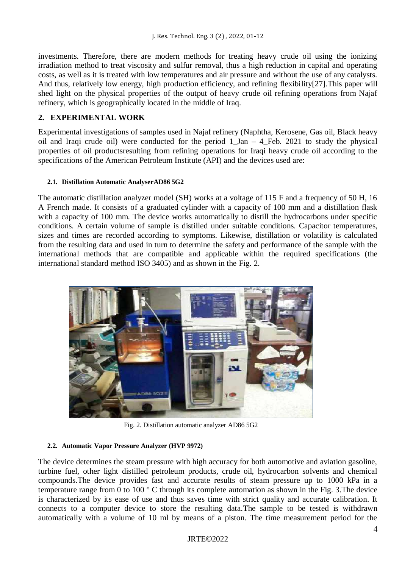investments. Therefore, there are modern methods for treating heavy crude oil using the ionizing irradiation method to treat viscosity and sulfur removal, thus a high reduction in capital and operating costs, as well as it is treated with low temperatures and air pressure and without the use of any catalysts. And thus, relatively low energy, high production efficiency, and refining flexibility[27].This paper will shed light on the physical properties of the output of heavy crude oil refining operations from Najaf refinery, which is geographically located in the middle of Iraq.

# **2. EXPERIMENTAL WORK**

Experimental investigations of samples used in Najaf refinery (Naphtha, Kerosene, Gas oil, Black heavy oil and Iraqi crude oil) were conducted for the period 1 Jan – 4 Feb. 2021 to study the physical properties of oil productsresulting from refining operations for Iraqi heavy crude oil according to the specifications of the American Petroleum Institute (API) and the devices used are:

## **2.1. Distillation Automatic AnalyserAD86 5G2**

The automatic distillation analyzer model (SH) works at a voltage of 115 F and a frequency of 50 H, 16 A French made. It consists of a graduated cylinder with a capacity of 100 mm and a distillation flask with a capacity of 100 mm. The device works automatically to distill the hydrocarbons under specific conditions. A certain volume of sample is distilled under suitable conditions. Capacitor temperatures, sizes and times are recorded according to symptoms. Likewise, distillation or volatility is calculated from the resulting data and used in turn to determine the safety and performance of the sample with the international methods that are compatible and applicable within the required specifications (the international standard method ISO 3405) and as shown in the Fig. 2.



Fig. 2. Distillation automatic analyzer AD86 5G2

#### **2.2. Automatic Vapor Pressure Analyzer (HVP 9972)**

The device determines the steam pressure with high accuracy for both automotive and aviation gasoline, turbine fuel, other light distilled petroleum products, crude oil, hydrocarbon solvents and chemical compounds.The device provides fast and accurate results of steam pressure up to 1000 kPa in a temperature range from 0 to 100 ° C through its complete automation as shown in the Fig. 3.The device is characterized by its ease of use and thus saves time with strict quality and accurate calibration. It connects to a computer device to store the resulting data.The sample to be tested is withdrawn automatically with a volume of 10 ml by means of a piston. The time measurement period for the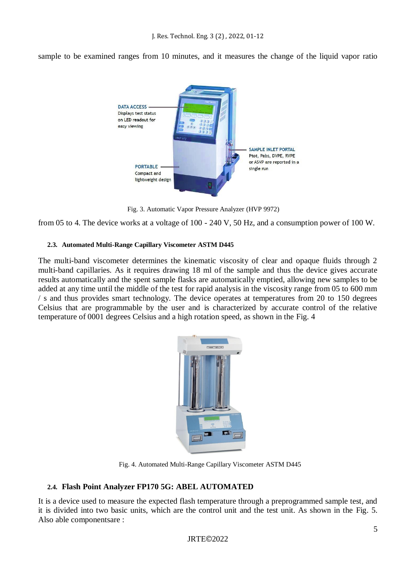sample to be examined ranges from 10 minutes, and it measures the change of the liquid vapor ratio



Fig. 3. Automatic Vapor Pressure Analyzer (HVP 9972)

from 05 to 4. The device works at a voltage of 100 - 240 V, 50 Hz, and a consumption power of 100 W.

#### **2.3. Automated Multi-Range Capillary Viscometer ASTM D445**

The multi-band viscometer determines the kinematic viscosity of clear and opaque fluids through 2 multi-band capillaries. As it requires drawing 18 ml of the sample and thus the device gives accurate results automatically and the spent sample flasks are automatically emptied, allowing new samples to be added at any time until the middle of the test for rapid analysis in the viscosity range from 05 to 600 mm / s and thus provides smart technology. The device operates at temperatures from 20 to 150 degrees Celsius that are programmable by the user and is characterized by accurate control of the relative temperature of 0001 degrees Celsius and a high rotation speed, as shown in the Fig. 4



Fig. 4. Automated Multi-Range Capillary Viscometer ASTM D445

# **2.4. Flash Point Analyzer FP170 5G: ABEL AUTOMATED**

It is a device used to measure the expected flash temperature through a preprogrammed sample test, and it is divided into two basic units, which are the control unit and the test unit. As shown in the Fig. 5. Also able componentsare :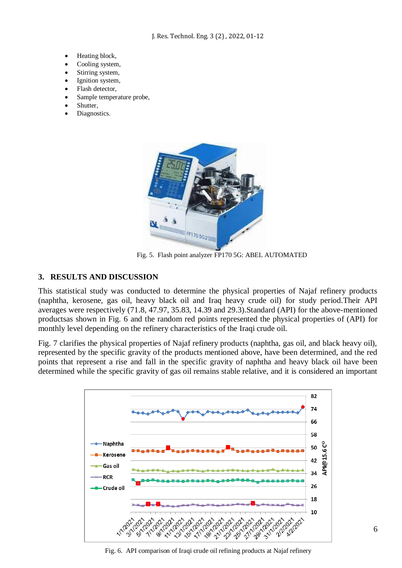J. Res. Technol. Eng. 3 (2) , 2022, 01-12

- Heating block,
- Cooling system,
- Stirring system,
- Ignition system,
- Flash detector,
- Sample temperature probe,
- Shutter,
- Diagnostics.



Fig. 5. Flash point analyzer FP170 5G: ABEL AUTOMATED

#### **3. RESULTS AND DISCUSSION**

This statistical study was conducted to determine the physical properties of Najaf refinery products (naphtha, kerosene, gas oil, heavy black oil and Iraq heavy crude oil) for study period.Their API averages were respectively (71.8, 47.97, 35.83, 14.39 and 29.3).Standard (API) for the above-mentioned productsas shown in Fig. 6 and the random red points represented the physical properties of (API) for monthly level depending on the refinery characteristics of the Iraqi crude oil.

Fig. 7 clarifies the physical properties of Najaf refinery products (naphtha, gas oil, and black heavy oil), represented by the specific gravity of the products mentioned above, have been determined, and the red points that represent a rise and fall in the specific gravity of naphtha and heavy black oil have been determined while the specific gravity of gas oil remains stable relative, and it is considered an important



Fig. 6. API comparison of Iraqi crude oil refining products at Najaf refinery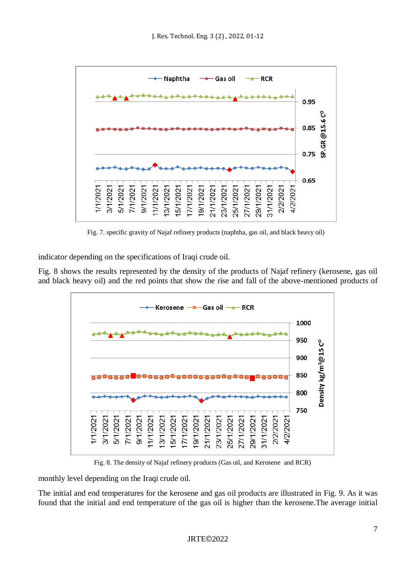

Fig. 7. specific gravity of Najaf refinery products (naphtha, gas oil, and black heavy oil)

indicator depending on the specifications of Iraqi crude oil.

Fig. 8 shows the results represented by the density of the products of Najaf refinery (kerosene, gas oil and black heavy oil) and the red points that show the rise and fall of the above-mentioned products of



Fig. 8. The density of Najaf refinery products (Gas oil, and Kerosene and RCR)

monthly level depending on the Iraqi crude oil.

The initial and end temperatures for the kerosene and gas oil products are illustrated in Fig. 9. As it was found that the initial and end temperature of the gas oil is higher than the kerosene.The average initial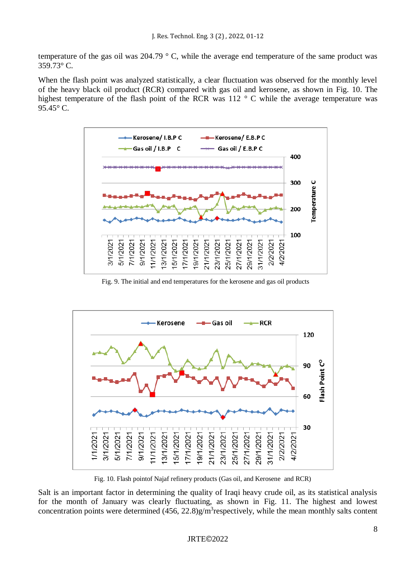temperature of the gas oil was 204.79 ° C, while the average end temperature of the same product was 359.73° C.

When the flash point was analyzed statistically, a clear fluctuation was observed for the monthly level of the heavy black oil product (RCR) compared with gas oil and kerosene, as shown in Fig. 10. The highest temperature of the flash point of the RCR was 112 ° C while the average temperature was 95.45° C.



Fig. 9. The initial and end temperatures for the kerosene and gas oil products



Fig. 10. Flash pointof Najaf refinery products (Gas oil, and Kerosene and RCR)

Salt is an important factor in determining the quality of Iraqi heavy crude oil, as its statistical analysis for the month of January was clearly fluctuating, as shown in Fig. 11. The highest and lowest concentration points were determined  $(456, 22.8)$ g/m<sup>3</sup>respectively, while the mean monthly salts content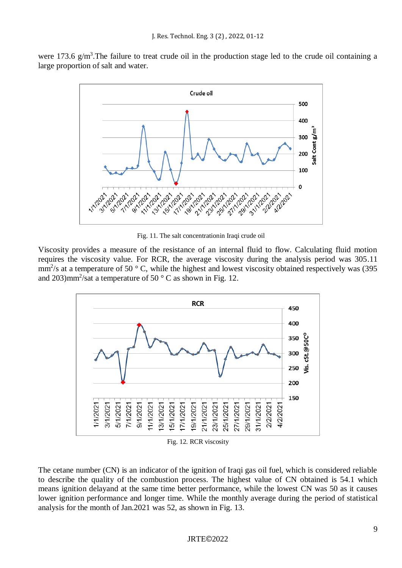were 173.6  $g/m<sup>3</sup>$ . The failure to treat crude oil in the production stage led to the crude oil containing a large proportion of salt and water.



Fig. 11. The salt concentrationin Iraqi crude oil

Viscosity provides a measure of the resistance of an internal fluid to flow. Calculating fluid motion requires the viscosity value. For RCR, the average viscosity during the analysis period was 305.11  $\text{mm}^2$ /s at a temperature of 50 ° C, while the highest and lowest viscosity obtained respectively was (395 and 203) $mm^2$ /sat a temperature of 50 °C as shown in Fig. 12.



Fig. 12. RCR viscosity

The cetane number (CN) is an indicator of the ignition of Iraqi gas oil fuel, which is considered reliable to describe the quality of the combustion process. The highest value of CN obtained is 54.1 which means ignition delayand at the same time better performance, while the lowest CN was 50 as it causes lower ignition performance and longer time. While the monthly average during the period of statistical analysis for the month of Jan.2021 was 52, as shown in Fig. 13.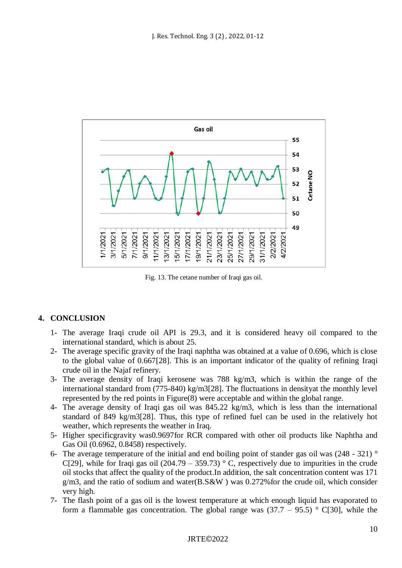

Fig. 13. The cetane number of Iraqi gas oil.

# **4. CONCLUSION**

- 1- The average Iraqi crude oil API is 29.3, and it is considered heavy oil compared to the international standard, which is about 25.
- 2- The average specific gravity of the Iraqi naphtha was obtained at a value of 0.696, which is close to the global value of 0.667[28]. This is an important indicator of the quality of refining Iraqi crude oil in the Najaf refinery.
- 3- The average density of Iraqi kerosene was 788 kg/m3, which is within the range of the international standard from (775-840) kg/m3[28]. The fluctuations in densityat the monthly level represented by the red points in Figure(8) were acceptable and within the global range.
- 4- The average density of Iraqi gas oil was 845.22 kg/m3, which is less than the international standard of 849 kg/m3[28]. Thus, this type of refined fuel can be used in the relatively hot weather, which represents the weather in Iraq.
- 5- Higher specificgravity was0.9697for RCR compared with other oil products like Naphtha and Gas Oil (0.6962, 0.8458) respectively.
- 6- The average temperature of the initial and end boiling point of stander gas oil was (248 321) ° C[29], while for Iraqi gas oil (204.79 – 359.73)  $\degree$  C, respectively due to impurities in the crude oil stocks that affect the quality of the product.In addition, the salt concentration content was 171  $g/m3$ , and the ratio of sodium and water(B.S&W) was 0.272% for the crude oil, which consider very high.
- 7- The flash point of a gas oil is the lowest temperature at which enough liquid has evaporated to form a flammable gas concentration. The global range was  $(37.7 - 95.5)$  ° C[30], while the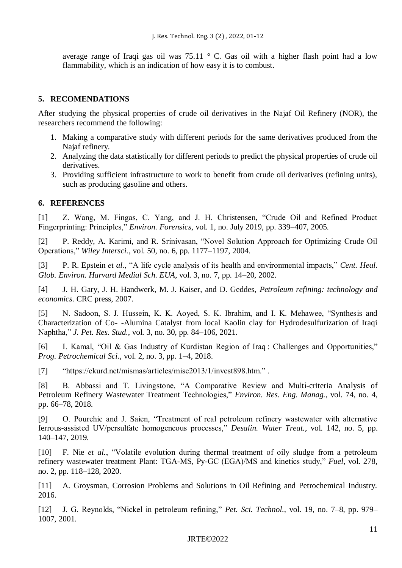average range of Iraqi gas oil was  $75.11 \degree$  C. Gas oil with a higher flash point had a low flammability, which is an indication of how easy it is to combust.

#### **5. RECOMENDATIONS**

After studying the physical properties of crude oil derivatives in the Najaf Oil Refinery (NOR), the researchers recommend the following:

- 1. Making a comparative study with different periods for the same derivatives produced from the Najaf refinery.
- 2. Analyzing the data statistically for different periods to predict the physical properties of crude oil derivatives.
- 3. Providing sufficient infrastructure to work to benefit from crude oil derivatives (refining units), such as producing gasoline and others.

#### **6. REFERENCES**

[1] Z. Wang, M. Fingas, C. Yang, and J. H. Christensen, "Crude Oil and Refined Product Fingerprinting: Principles," *Environ. Forensics*, vol. 1, no. July 2019, pp. 339–407, 2005.

[2] P. Reddy, A. Karimi, and R. Srinivasan, "Novel Solution Approach for Optimizing Crude Oil Operations," *Wiley Intersci.*, vol. 50, no. 6, pp. 1177–1197, 2004.

[3] P. R. Epstein *et al.*, "A life cycle analysis of its health and environmental impacts," *Cent. Heal. Glob. Environ. Harvard Medial Sch. EUA*, vol. 3, no. 7, pp. 14–20, 2002.

[4] J. H. Gary, J. H. Handwerk, M. J. Kaiser, and D. Geddes, *Petroleum refining: technology and economics*. CRC press, 2007.

[5] N. Sadoon, S. J. Hussein, K. K. Aoyed, S. K. Ibrahim, and I. K. Mehawee, "Synthesis and Characterization of Co- -Alumina Catalyst from local Kaolin clay for Hydrodesulfurization of Iraqi Naphtha," *J. Pet. Res. Stud.*, vol. 3, no. 30, pp. 84–106, 2021.

[6] I. Kamal, "Oil & Gas Industry of Kurdistan Region of Iraq : Challenges and Opportunities," *Prog. Petrochemical Sci.*, vol. 2, no. 3, pp. 1–4, 2018.

[7] "https://ekurd.net/mismas/articles/misc2013/1/invest898.htm.".

[8] B. Abbassi and T. Livingstone, "A Comparative Review and Multi-criteria Analysis of Petroleum Refinery Wastewater Treatment Technologies," *Environ. Res. Eng. Manag.*, vol. 74, no. 4, pp. 66–78, 2018.

[9] O. Pourehie and J. Saien, "Treatment of real petroleum refinery wastewater with alternative ferrous-assisted UV/persulfate homogeneous processes," *Desalin. Water Treat.*, vol. 142, no. 5, pp. 140–147, 2019.

[10] F. Nie *et al.*, "Volatile evolution during thermal treatment of oily sludge from a petroleum refinery wastewater treatment Plant: TGA-MS, Py-GC (EGA)/MS and kinetics study," *Fuel*, vol. 278, no. 2, pp. 118–128, 2020.

[11] A. Groysman, Corrosion Problems and Solutions in Oil Refining and Petrochemical Industry. 2016.

[12] J. G. Reynolds, "Nickel in petroleum refining," *Pet. Sci. Technol.*, vol. 19, no. 7–8, pp. 979– 1007, 2001.